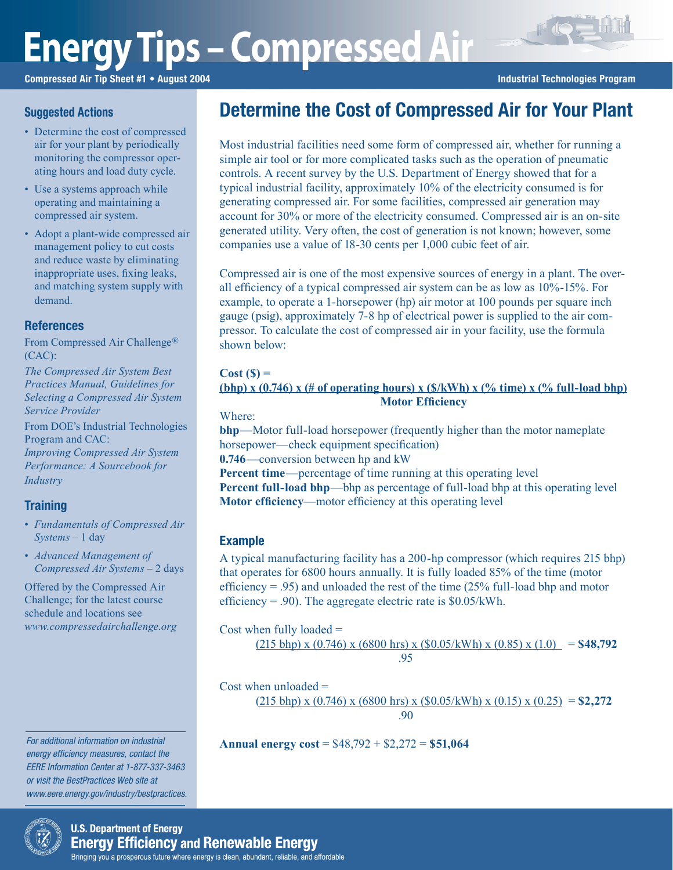# **Energy Tips – Compressed Air**

Compressed Air Tip Sheet #1 • August 2004 **Industrial Technologies Program** Industrial Technologies Program

#### **Suggested Actions**

- Determine the cost of compressed air for your plant by periodically monitoring the compressor operating hours and load duty cycle.
- Use a systems approach while operating and maintaining a compressed air system.
- Adopt a plant-wide compressed air management policy to cut costs and reduce waste by eliminating inappropriate uses, fixing leaks, and matching system supply with demand.

#### **References**

From Compressed Air Challenge® (CAC):

*The Compressed Air System Best Practices Manual, Guidelines for Selecting a Compressed Air System Service Provider*

From DOE's Industrial Technologies Program and CAC: *Improving Compressed Air System Performance: A Sourcebook for Industry*

# **Training**

- *Fundamentals of Compressed Air Systems* – 1 day
- *Advanced Management of Compressed Air Systems* – 2 days

Offered by the Compressed Air Challenge; for the latest course schedule and locations see *www.compressedairchallenge.org*

For additional information on industrial energy efficiency measures, contact the EERE Information Center at 1-877-337-3463 or visit the BestPractices Web site at www.eere.energy.gov/industry/bestpractices.

# Determine the Cost of Compressed Air for Your Plant

Most industrial facilities need some form of compressed air, whether for running a simple air tool or for more complicated tasks such as the operation of pneumatic controls. A recent survey by the U.S. Department of Energy showed that for a typical industrial facility, approximately 10% of the electricity consumed is for generating compressed air. For some facilities, compressed air generation may account for 30% or more of the electricity consumed. Compressed air is an on-site generated utility. Very often, the cost of generation is not known; however, some companies use a value of 18-30 cents per 1,000 cubic feet of air.

Compressed air is one of the most expensive sources of energy in a plant. The overall efficiency of a typical compressed air system can be as low as 10%-15%. For example, to operate a 1-horsepower (hp) air motor at 100 pounds per square inch gauge (psig), approximately 7-8 hp of electrical power is supplied to the air compressor. To calculate the cost of compressed air in your facility, use the formula shown below:

#### **Cost (\$) =**

#### **(bhp)** x  $(0.746)$  x  $(\#$  of operating hours) x  $(\frac{8}{kWh})$  x  $(\frac{9}{6}$  time) x  $(\frac{9}{6}$  full-load bhp)  **Motor Efficiency**

Where:

**bhp**—Motor full-load horsepower (frequently higher than the motor nameplate horsepower—check equipment specification)

**0.746**—conversion between hp and kW

**Percent time**—percentage of time running at this operating level **Percent full-load bhp—bhp as percentage of full-load bhp at this operating level Motor efficiency**—motor efficiency at this operating level

### Example

A typical manufacturing facility has a 200-hp compressor (which requires 215 bhp) that operates for 6800 hours annually. It is fully loaded 85% of the time (motor efficiency  $= .95$ ) and unloaded the rest of the time (25% full-load bhp and motor efficiency = .90). The aggregate electric rate is  $$0.05/kWh$ .

#### Cost when fully loaded =

```
(215 \text{ bhp}) \times (0.746) \times (6800 \text{ hrs}) \times (\$0.05/\text{kWh}) \times (0.85) \times (1.0) = \$48,792 .95
```
Cost when unloaded  $=$  $(215 \text{ bhp}) \times (0.746) \times (6800 \text{ hrs}) \times (80.05/\text{kWh}) \times (0.15) \times (0.25) = $2,272$ .90

**Annual energy cost** = \$48,792 + \$2,272 = **\$51,064**